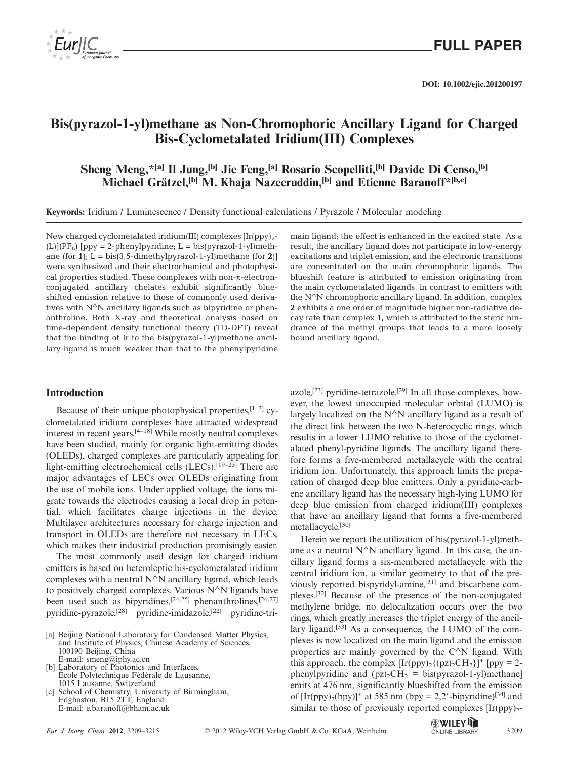

**DOI: 10.1002/ejic.201200197**

## **Bis(pyrazol-1-yl)methane as Non-Chromophoric Ancillary Ligand for Charged Bis-Cyclometalated Iridium(III) Complexes**

**Sheng Meng,\*[a] Il Jung,[b] Jie Feng,[a] Rosario Scopelliti,[b] Davide Di Censo,[b] Michael Grätzel,[b] M. Khaja Nazeeruddin,[b] and Etienne Baranoff\*[b,c]**

**Keywords:** Iridium / Luminescence / Density functional calculations / Pyrazole / Molecular modeling

New charged cyclometalated iridium(III) complexes  $[Ir(ppy)<sub>2</sub>$ - $(L)|(PF_6)|$  [ppy = 2-phenylpyridine; L = bis(pyrazol-1-yl)methane (for **1**);  $L = \text{bis}(3,5\text{-dimethylpyrazol-1-yl)methane (for 2)}$ were synthesized and their electrochemical and photophysical properties studied. These complexes with non-π-electronconjugated ancillary chelates exhibit significantly blueshifted emission relative to those of commonly used derivatives with  $N^N$ N ancillary ligands such as bipyridine or phenanthroline. Both X-ray and theoretical analysis based on time-dependent density functional theory (TD-DFT) reveal that the binding of Ir to the bis(pyrazol-1-yl)methane ancillary ligand is much weaker than that to the phenylpyridine

### **Introduction**

Because of their unique photophysical properties, $[1-3]$  cyclometalated iridium complexes have attracted widespread interest in recent years.<sup>[4–18]</sup> While mostly neutral complexes have been studied, mainly for organic light-emitting diodes (OLEDs), charged complexes are particularly appealing for light-emitting electrochemical cells (LECs).<sup>[19–23]</sup> There are major advantages of LECs over OLEDs originating from the use of mobile ions. Under applied voltage, the ions migrate towards the electrodes causing a local drop in potential, which facilitates charge injections in the device. Multilayer architectures necessary for charge injection and transport in OLEDs are therefore not necessary in LECs, which makes their industrial production promisingly easier.

The most commonly used design for charged iridium emitters is based on heteroleptic bis-cyclometalated iridium complexes with a neutral N∧N ancillary ligand, which leads to positively charged complexes. Various N∧N ligands have been used such as bipyridines,<sup>[24,25]</sup> phenanthrolines,<sup>[26,27]</sup> pyridine-pyrazole,[28] pyridine-imidazole,[22] pyridine-tri-

- [b] Laboratory of Photonics and Interfaces, École Polytechnique Fédérale de Lausanne, 1015 Lausanne, Switzerland
- [c] School of Chemistry, University of Birmingham, Edgbaston, B15 2TT, England E-mail: e.baranoff@bham.ac.uk

main ligand; the effect is enhanced in the excited state. As a result, the ancillary ligand does not participate in low-energy excitations and triplet emission, and the electronic transitions are concentrated on the main chromophoric ligands. The blueshift feature is attributed to emission originating from the main cyclometalated ligands, in contrast to emitters with the N∧N chromophoric ancillary ligand. In addition, complex **2** exhibits a one order of magnitude higher non-radiative decay rate than complex **1**, which is attributed to the steric hindrance of the methyl groups that leads to a more loosely bound ancillary ligand.

azole,<sup>[23]</sup> pyridine-tetrazole.<sup>[29]</sup> In all those complexes, however, the lowest unoccupied molecular orbital (LUMO) is largely localized on the  $N^N$ N ancillary ligand as a result of the direct link between the two N-heterocyclic rings, which results in a lower LUMO relative to those of the cyclometalated phenyl-pyridine ligands. The ancillary ligand therefore forms a five-membered metallacycle with the central iridium ion. Unfortunately, this approach limits the preparation of charged deep blue emitters. Only a pyridine-carbene ancillary ligand has the necessary high-lying LUMO for deep blue emission from charged iridium(III) complexes that have an ancillary ligand that forms a five-membered metallacycle.[30]

Herein we report the utilization of bis(pyrazol-1-yl)methane as a neutral N∧N ancillary ligand. In this case, the ancillary ligand forms a six-membered metallacycle with the central iridium ion, a similar geometry to that of the previously reported bispyridyl-amine,[31] and biscarbene complexes.[32] Because of the presence of the non-conjugated methylene bridge, no delocalization occurs over the two rings, which greatly increases the triplet energy of the ancillary ligand. $[33]$  As a consequence, the LUMO of the complexes is now localized on the main ligand and the emission properties are mainly governed by the  $C^{\wedge}N$  ligand. With this approach, the complex  $[Ir(ppy)_{2}({pz})_{2}CH_{2}]^{+}$  [ppy = 2phenylpyridine and  $(pz)_{2}CH_{2} = bis(pyrazol-1-yl)$  methane emits at 476 nm, significantly blueshifted from the emission of  $[Ir(ppy)_2(bpy)]^+$  at 585 nm (bpy = 2,2'-bipyridine)<sup>[34]</sup> and similar to those of previously reported complexes  $[Ir(pp)]_2$ -

<sup>[</sup>a] Beijing National Laboratory for Condensed Matter Physics, and Institute of Physics, Chinese Academy of Sciences, 100190 Beijing, China E-mail: smeng@iphy.ac.cn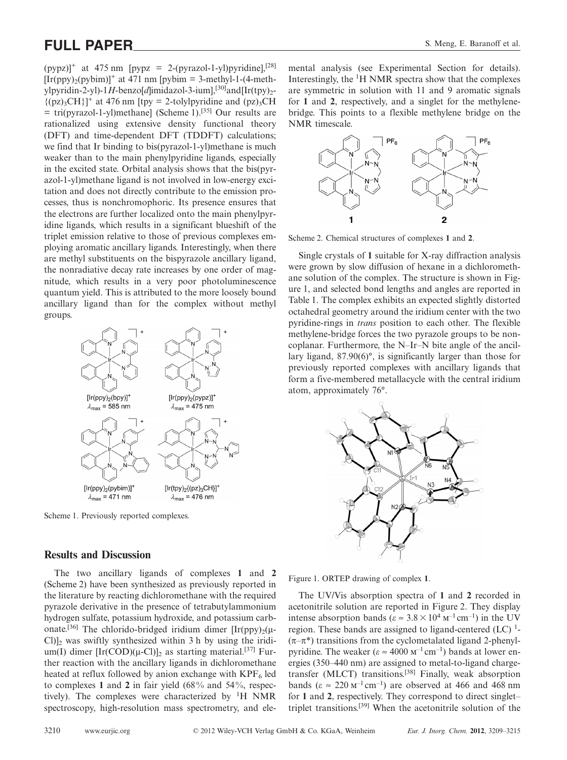# **FULL PAPER** S. Meng, E. Baranoff et al.

 $(pvpz)'$  at 475 nm  $[pvpz = 2-(pyrazol-1-v])$  pyridine],  $[28]$  $[Ir(ppy)_2(pybim)]^+$  at 471 nm [pybim = 3-methyl-1-(4-methylpyridin-2-yl)-1*H*-benzo[d]imidazol-3-ium],<sup>[30]</sup>and[Ir(tpy)<sub>2</sub>- $\{(pz)_{3}CH\}$ <sup>+</sup> at 476 nm [tpy = 2-tolylpyridine and (pz)<sub>3</sub>CH  $=$  tri(pyrazol-1-yl)methane] (Scheme 1).<sup>[35]</sup> Our results are rationalized using extensive density functional theory (DFT) and time-dependent DFT (TDDFT) calculations; we find that Ir binding to bis(pyrazol-1-yl)methane is much weaker than to the main phenylpyridine ligands, especially in the excited state. Orbital analysis shows that the bis(pyrazol-1-yl)methane ligand is not involved in low-energy excitation and does not directly contribute to the emission processes, thus is nonchromophoric. Its presence ensures that the electrons are further localized onto the main phenylpyridine ligands, which results in a significant blueshift of the triplet emission relative to those of previous complexes employing aromatic ancillary ligands. Interestingly, when there are methyl substituents on the bispyrazole ancillary ligand, the nonradiative decay rate increases by one order of magnitude, which results in a very poor photoluminescence quantum yield. This is attributed to the more loosely bound ancillary ligand than for the complex without methyl groups.



Scheme 1. Previously reported complexes.

### **Results and Discussion**

The two ancillary ligands of complexes **1** and **2** (Scheme 2) have been synthesized as previously reported in the literature by reacting dichloromethane with the required pyrazole derivative in the presence of tetrabutylammonium hydrogen sulfate, potassium hydroxide, and potassium carbonate.<sup>[36]</sup> The chlorido-bridged iridium dimer  $[Ir(ppy)_{2}(\mu Cl$  $]_2$  was swiftly synthesized within 3 h by using the iridium(I) dimer  $[Ir(COD)(\mu-CI)]_2$  as starting material.<sup>[37]</sup> Further reaction with the ancillary ligands in dichloromethane heated at reflux followed by anion exchange with  $KPF_6$  led to complexes **1** and **2** in fair yield (68% and 54%, respectively). The complexes were characterized by  ${}^{1}H$  NMR spectroscopy, high-resolution mass spectrometry, and ele-

mental analysis (see Experimental Section for details). Interestingly, the <sup>1</sup>H NMR spectra show that the complexes are symmetric in solution with 11 and 9 aromatic signals for **1** and **2**, respectively, and a singlet for the methylenebridge. This points to a flexible methylene bridge on the NMR timescale.



Scheme 2. Chemical structures of complexes **1** and **2**.

Single crystals of **1** suitable for X-ray diffraction analysis were grown by slow diffusion of hexane in a dichloromethane solution of the complex. The structure is shown in Figure 1, and selected bond lengths and angles are reported in Table 1. The complex exhibits an expected slightly distorted octahedral geometry around the iridium center with the two pyridine-rings in *trans* position to each other. The flexible methylene-bridge forces the two pyrazole groups to be noncoplanar. Furthermore, the N–Ir–N bite angle of the ancillary ligand, 87.90(6)°, is significantly larger than those for previously reported complexes with ancillary ligands that form a five-membered metallacycle with the central iridium atom, approximately 76°.



Figure 1. ORTEP drawing of complex **1**.

The UV/Vis absorption spectra of **1** and **2** recorded in acetonitrile solution are reported in Figure 2. They display intense absorption bands ( $\varepsilon \approx 3.8 \times 10^4 \text{ m}^{-1} \text{ cm}^{-1}$ ) in the UV region. These bands are assigned to ligand-centered  $(LC)^1$ - $(\pi-\pi^*)$  transitions from the cyclometalated ligand 2-phenylpyridine. The weaker ( $\varepsilon \approx 4000 \text{ m}^{-1} \text{cm}^{-1}$ ) bands at lower energies (350–440 nm) are assigned to metal-to-ligand chargetransfer (MLCT) transitions.[38] Finally, weak absorption bands ( $\varepsilon \approx 220 \text{ m}^{-1} \text{cm}^{-1}$ ) are observed at 466 and 468 nm for **1** and **2**, respectively. They correspond to direct singlet– triplet transitions.[39] When the acetonitrile solution of the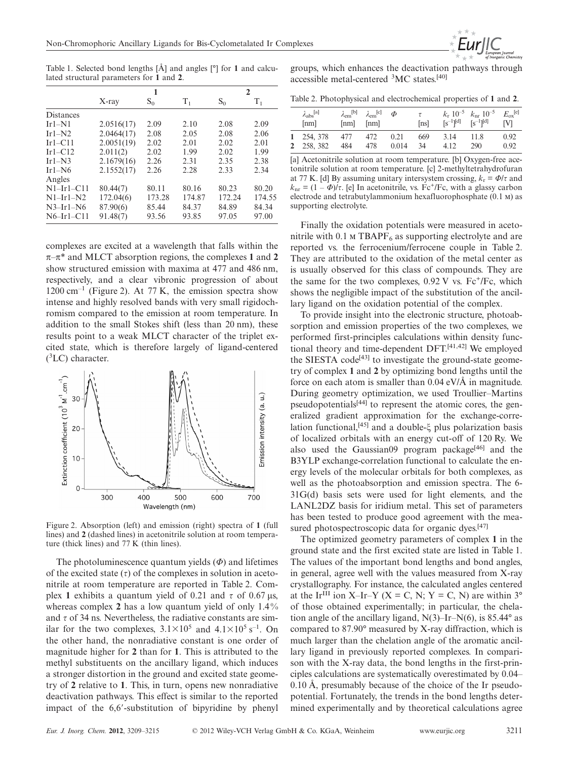Table 1. Selected bond lengths [Å] and angles [°] for **1** and calculated structural parameters for **1** and **2**.

|                  | 1          |        |         | $\mathbf{2}$ |        |
|------------------|------------|--------|---------|--------------|--------|
|                  | $X$ -ray   | $S_0$  | $T_{1}$ | $S_0$        | $T_1$  |
| <b>Distances</b> |            |        |         |              |        |
| $Ir1-N1$         | 2.0516(17) | 2.09   | 2.10    | 2.08         | 2.09   |
| $Ir1-N2$         | 2.0464(17) | 2.08   | 2.05    | 2.08         | 2.06   |
| $Ir1-C11$        | 2.0051(19) | 2.02   | 2.01    | 2.02         | 2.01   |
| $Ir1-C12$        | 2.011(2)   | 2.02   | 1.99    | 2.02         | 1.99   |
| $Ir1-N3$         | 2.1679(16) | 2.26   | 2.31    | 2.35         | 2.38   |
| $Ir1-N6$         | 2.1552(17) | 2.26   | 2.28    | 2.33         | 2.34   |
| Angles           |            |        |         |              |        |
| $N1-Ir1-C11$     | 80.44(7)   | 80.11  | 80.16   | 80.23        | 80.20  |
| $N1-Ir1-N2$      | 172.04(6)  | 173.28 | 174.87  | 172.24       | 174.55 |
| $N3-Ir1-N6$      | 87.90(6)   | 85.44  | 84.37   | 84.89        | 84.34  |
| $N6-Ir1-C11$     | 91.48(7)   | 93.56  | 93.85   | 97.05        | 97.00  |

complexes are excited at a wavelength that falls within the π–π\* and MLCT absorption regions, the complexes **1** and **2** show structured emission with maxima at 477 and 486 nm, respectively, and a clear vibronic progression of about  $1200 \text{ cm}^{-1}$  (Figure 2). At 77 K, the emission spectra show intense and highly resolved bands with very small rigidochromism compared to the emission at room temperature. In addition to the small Stokes shift (less than 20 nm), these results point to a weak MLCT character of the triplet excited state, which is therefore largely of ligand-centered ( 3 LC) character.



Figure 2. Absorption (left) and emission (right) spectra of **1** (full lines) and **2** (dashed lines) in acetonitrile solution at room temperature (thick lines) and 77 K (thin lines).

The photoluminescence quantum yields (*Φ*) and lifetimes of the excited state  $(τ)$  of the complexes in solution in acetonitrile at room temperature are reported in Table 2. Complex 1 exhibits a quantum yield of 0.21 and  $τ$  of 0.67 μs, whereas complex **2** has a low quantum yield of only 1.4% and  $\tau$  of 34 ns. Nevertheless, the radiative constants are similar for the two complexes,  $3.1 \times 10^5$  and  $4.1 \times 10^5$  s<sup>-1</sup>. On the other hand, the nonradiative constant is one order of magnitude higher for **2** than for **1**. This is attributed to the methyl substituents on the ancillary ligand, which induces a stronger distortion in the ground and excited state geometry of **2** relative to **1**. This, in turn, opens new nonradiative deactivation pathways. This effect is similar to the reported impact of the 6,6--substitution of bipyridine by phenyl

groups, which enhances the deactivation pathways through accessible metal-centered <sup>3</sup> MC states.[40]

Table 2. Photophysical and electrochemical properties of **1** and **2**.

| $\lambda_{\rm abs}$ [a]<br>[nm] | $\lambda_{\rm em}^{[b]}$ $\lambda_{\rm em}^{[c]}$<br>[nm] | $\lceil nm \rceil$ | $\Phi$ | $\tau$<br>[ns] |      | $k_r$ 10 <sup>-5</sup> $k_{\rm nr}$ 10 <sup>-5</sup><br>$[s^{-1}]^{[d]}$ $[s^{-1}]^{[d]}$ | $E_{\rm ox}^{\quad [e]}$<br><b>IVI</b> |
|---------------------------------|-----------------------------------------------------------|--------------------|--------|----------------|------|-------------------------------------------------------------------------------------------|----------------------------------------|
| 1 254, 378                      | 477                                                       | 472                | 0.21   | 669            | 3.14 | -11.8                                                                                     | 0.92                                   |
| 2 258, 382                      | 484                                                       | 478                | 0.014  | 34             | 4.12 | 290                                                                                       | 0.92                                   |

[a] Acetonitrile solution at room temperature. [b] Oxygen-free acetonitrile solution at room temperature. [c] 2-methyltetrahydrofuran at 77 K. [d] By assuming unitary intersystem crossing,  $k_r = \Phi/\tau$  and  $k_{\text{nr}} = (1 - \Phi)/\tau$ . [e] In acetonitrile, vs. Fc<sup>+</sup>/Fc, with a glassy carbon electrode and tetrabutylammonium hexafluorophosphate (0.1 m) as supporting electrolyte.

Finally the oxidation potentials were measured in acetonitrile with 0.1  $\text{M}$  TBAPF<sub>6</sub> as supporting electrolyte and are reported vs. the ferrocenium/ferrocene couple in Table 2. They are attributed to the oxidation of the metal center as is usually observed for this class of compounds. They are the same for the two complexes,  $0.92$  V vs.  $Fe^{+}/Fe$ , which shows the negligible impact of the substitution of the ancillary ligand on the oxidation potential of the complex.

To provide insight into the electronic structure, photoabsorption and emission properties of the two complexes, we performed first-principles calculations within density functional theory and time-dependent DFT.[41,42] We employed the SIESTA code<sup>[43]</sup> to investigate the ground-state geometry of complex **1** and **2** by optimizing bond lengths until the force on each atom is smaller than  $0.04 \text{ eV/A}$  in magnitude. During geometry optimization, we used Troullier–Martins pseudopotentials $[44]$  to represent the atomic cores, the generalized gradient approximation for the exchange-correlation functional,[45] and a double-ξ plus polarization basis of localized orbitals with an energy cut-off of 120 Ry. We also used the Gaussian09 program package<sup>[46]</sup> and the B3YLP exchange-correlation functional to calculate the energy levels of the molecular orbitals for both complexes, as well as the photoabsorption and emission spectra. The 6- 31G(d) basis sets were used for light elements, and the LANL2DZ basis for iridium metal. This set of parameters has been tested to produce good agreement with the measured photospectroscopic data for organic dyes.<sup>[47]</sup>

The optimized geometry parameters of complex **1** in the ground state and the first excited state are listed in Table 1. The values of the important bond lengths and bond angles, in general, agree well with the values measured from X-ray crystallography. For instance, the calculated angles centered at the Ir<sup>III</sup> ion X–Ir–Y (X = C, N; Y = C, N) are within  $3^{\circ}$ of those obtained experimentally; in particular, the chelation angle of the ancillary ligand,  $N(3)$ –Ir– $N(6)$ , is 85.44 $\degree$  as compared to 87.90° measured by X-ray diffraction, which is much larger than the chelation angle of the aromatic ancillary ligand in previously reported complexes. In comparison with the X-ray data, the bond lengths in the first-principles calculations are systematically overestimated by 0.04– 0.10 Å, presumably because of the choice of the Ir pseudopotential. Fortunately, the trends in the bond lengths determined experimentally and by theoretical calculations agree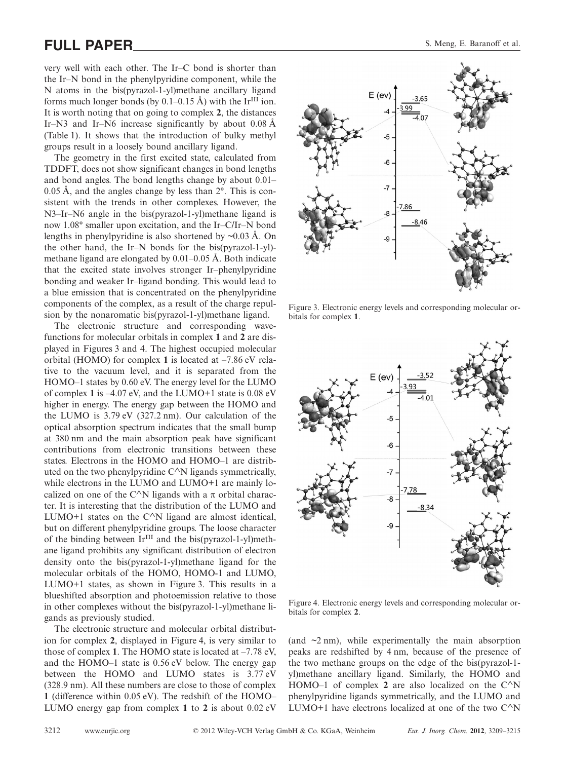# **FULL PAPER** S. Meng, E. Baranoff et al.

very well with each other. The Ir–C bond is shorter than the Ir–N bond in the phenylpyridine component, while the N atoms in the bis(pyrazol-1-yl)methane ancillary ligand forms much longer bonds (by  $0.1-0.15 \text{ Å}$ ) with the Ir<sup>III</sup> ion. It is worth noting that on going to complex **2**, the distances Ir–N3 and Ir–N6 increase significantly by about  $0.08 \text{ Å}$ (Table 1). It shows that the introduction of bulky methyl groups result in a loosely bound ancillary ligand.

The geometry in the first excited state, calculated from TDDFT, does not show significant changes in bond lengths and bond angles. The bond lengths change by about 0.01– 0.05 Å, and the angles change by less than 2°. This is consistent with the trends in other complexes. However, the N3–Ir–N6 angle in the bis(pyrazol-1-yl)methane ligand is now 1.08° smaller upon excitation, and the Ir–C/Ir–N bond lengths in phenylpyridine is also shortened by  $\sim 0.03 \text{ Å}$ . On the other hand, the Ir–N bonds for the bis(pyrazol-1-yl) methane ligand are elongated by 0.01–0.05 Å. Both indicate that the excited state involves stronger Ir–phenylpyridine bonding and weaker Ir–ligand bonding. This would lead to a blue emission that is concentrated on the phenylpyridine components of the complex, as a result of the charge repulsion by the nonaromatic bis(pyrazol-1-yl)methane ligand.

The electronic structure and corresponding wavefunctions for molecular orbitals in complex **1** and **2** are displayed in Figures 3 and 4. The highest occupied molecular orbital (HOMO) for complex **1** is located at –7.86 eV relative to the vacuum level, and it is separated from the HOMO–1 states by 0.60 eV. The energy level for the LUMO of complex **1** is –4.07 eV, and the LUMO+1 state is 0.08 eV higher in energy. The energy gap between the HOMO and the LUMO is 3.79 eV (327.2 nm). Our calculation of the optical absorption spectrum indicates that the small bump at 380 nm and the main absorption peak have significant contributions from electronic transitions between these states. Electrons in the HOMO and HOMO–1 are distributed on the two phenylpyridine C∧N ligands symmetrically, while electrons in the LUMO and LUMO+1 are mainly localized on one of the C $\wedge$ N ligands with a  $\pi$  orbital character. It is interesting that the distribution of the LUMO and LUMO+1 states on the C∧N ligand are almost identical, but on different phenylpyridine groups. The loose character of the binding between  $Ir^{III}$  and the bis(pyrazol-1-yl)methane ligand prohibits any significant distribution of electron density onto the bis(pyrazol-1-yl)methane ligand for the molecular orbitals of the HOMO, HOMO-1 and LUMO, LUMO+1 states, as shown in Figure 3. This results in a blueshifted absorption and photoemission relative to those in other complexes without the bis(pyrazol-1-yl)methane ligands as previously studied.

The electronic structure and molecular orbital distribution for complex **2**, displayed in Figure 4, is very similar to those of complex **1**. The HOMO state is located at –7.78 eV, and the HOMO–1 state is 0.56 eV below. The energy gap between the HOMO and LUMO states is 3.77 eV (328.9 nm). All these numbers are close to those of complex **1** (difference within 0.05 eV). The redshift of the HOMO– LUMO energy gap from complex **1** to **2** is about 0.02 eV



Figure 3. Electronic energy levels and corresponding molecular orbitals for complex **1**.



Figure 4. Electronic energy levels and corresponding molecular orbitals for complex **2**.

(and  $\sim$ 2 nm), while experimentally the main absorption peaks are redshifted by 4 nm, because of the presence of the two methane groups on the edge of the bis(pyrazol-1 yl)methane ancillary ligand. Similarly, the HOMO and HOMO–1 of complex 2 are also localized on the  $C^{\wedge}N$ phenylpyridine ligands symmetrically, and the LUMO and LUMO+1 have electrons localized at one of the two  $C^{\wedge}N$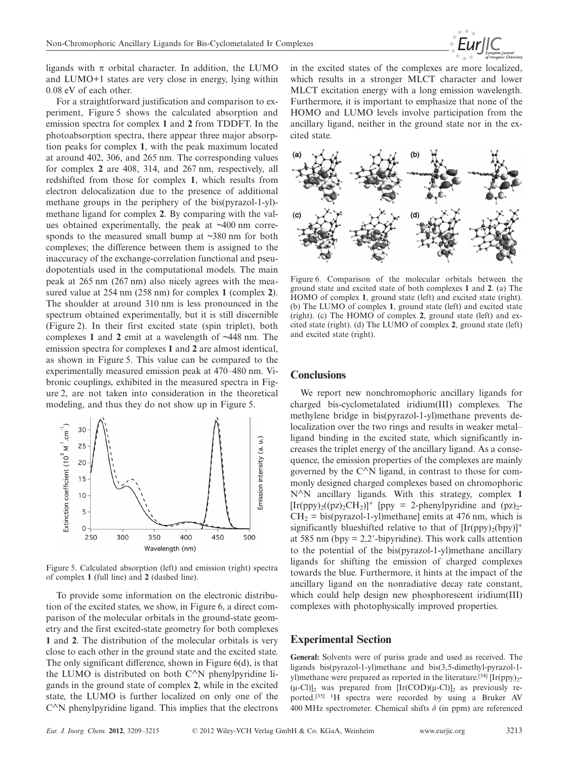

ligands with  $\pi$  orbital character. In addition, the LUMO and LUMO+1 states are very close in energy, lying within 0.08 eV of each other.

For a straightforward justification and comparison to experiment, Figure 5 shows the calculated absorption and emission spectra for complex **1** and **2** from TDDFT. In the photoabsorption spectra, there appear three major absorption peaks for complex **1**, with the peak maximum located at around 402, 306, and 265 nm. The corresponding values for complex **2** are 408, 314, and 267 nm, respectively, all redshifted from those for complex **1**, which results from electron delocalization due to the presence of additional methane groups in the periphery of the bis(pyrazol-1-yl) methane ligand for complex **2**. By comparing with the values obtained experimentally, the peak at  $\sim$ 400 nm corresponds to the measured small bump at ~380 nm for both complexes; the difference between them is assigned to the inaccuracy of the exchange-correlation functional and pseudopotentials used in the computational models. The main peak at 265 nm (267 nm) also nicely agrees with the measured value at 254 nm (258 nm) for complex **1** (complex **2**). The shoulder at around 310 nm is less pronounced in the spectrum obtained experimentally, but it is still discernible (Figure 2). In their first excited state (spin triplet), both complexes **1** and **2** emit at a wavelength of ~448 nm. The emission spectra for complexes **1** and **2** are almost identical, as shown in Figure 5. This value can be compared to the experimentally measured emission peak at 470–480 nm. Vibronic couplings, exhibited in the measured spectra in Figure 2, are not taken into consideration in the theoretical modeling, and thus they do not show up in Figure 5.



Figure 5. Calculated absorption (left) and emission (right) spectra of complex **1** (full line) and **2** (dashed line).

To provide some information on the electronic distribution of the excited states, we show, in Figure 6, a direct comparison of the molecular orbitals in the ground-state geometry and the first excited-state geometry for both complexes **1** and **2**. The distribution of the molecular orbitals is very close to each other in the ground state and the excited state. The only significant difference, shown in Figure 6(d), is that the LUMO is distributed on both C∧N phenylpyridine ligands in the ground state of complex **2**, while in the excited state, the LUMO is further localized on only one of the C∧N phenylpyridine ligand. This implies that the electrons

in the excited states of the complexes are more localized, which results in a stronger MLCT character and lower MLCT excitation energy with a long emission wavelength. Furthermore, it is important to emphasize that none of the HOMO and LUMO levels involve participation from the ancillary ligand, neither in the ground state nor in the excited state.



Figure 6. Comparison of the molecular orbitals between the ground state and excited state of both complexes **1** and **2**. (a) The HOMO of complex **1**, ground state (left) and excited state (right). (b) The LUMO of complex **1**, ground state (left) and excited state (right). (c) The HOMO of complex **2**, ground state (left) and excited state (right). (d) The LUMO of complex **2**, ground state (left) and excited state (right).

#### **Conclusions**

We report new nonchromophoric ancillary ligands for charged bis-cyclometalated iridium(III) complexes. The methylene bridge in bis(pyrazol-1-yl)methane prevents delocalization over the two rings and results in weaker metal– ligand binding in the excited state, which significantly increases the triplet energy of the ancillary ligand. As a consequence, the emission properties of the complexes are mainly governed by the  $C^{\wedge}N$  ligand, in contrast to those for commonly designed charged complexes based on chromophoric N∧N ancillary ligands. With this strategy, complex **1**  $[Ir(ppy)<sub>2</sub>((pz)<sub>2</sub>CH<sub>2</sub>)]<sup>+</sup>$  [ppy = 2-phenylpyridine and (pz)<sub>2</sub>- $CH<sub>2</sub> = bis(pyrazol-1-yl)$  methane] emits at 476 nm, which is significantly blueshifted relative to that of  $[Ir(ppy)_2(bpy)]^+$ at 585 nm (bpy  $= 2.2'$ -bipyridine). This work calls attention to the potential of the bis(pyrazol-1-yl)methane ancillary ligands for shifting the emission of charged complexes towards the blue. Furthermore, it hints at the impact of the ancillary ligand on the nonradiative decay rate constant, which could help design new phosphorescent iridium(III) complexes with photophysically improved properties.

#### **Experimental Section**

**General:** Solvents were of puriss grade and used as received. The ligands bis(pyrazol-1-yl)methane and bis(3,5-dimethyl-pyrazol-1 yl)methane were prepared as reported in the literature.<sup>[34]</sup>  $[Ir(ppy)_2$ - $(\mu$ -Cl)]<sub>2</sub> was prepared from  $[\text{Ir(COD)}(\mu$ -Cl)]<sub>2</sub> as previously reported.[35] 1H spectra were recorded by using a Bruker AV 400 MHz spectrometer. Chemical shifts *δ* (in ppm) are referenced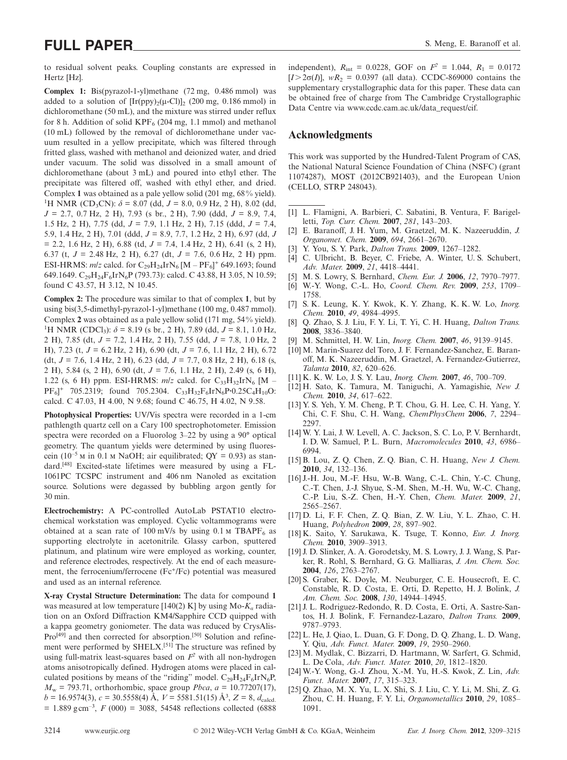# **FULL PAPER** S. Meng, E. Baranoff et al.

to residual solvent peaks. Coupling constants are expressed in Hertz [Hz].

**Complex 1:** Bis(pyrazol-1-yl)methane (72 mg, 0.486 mmol) was added to a solution of  $[Ir(ppv)_{2}(u-C])$ ], (200 mg, 0.186 mmol) in dichloromethane (50 mL), and the mixture was stirred under reflux for 8 h. Addition of solid  $KPF_6$  (204 mg, 1.1 mmol) and methanol (10 mL) followed by the removal of dichloromethane under vacuum resulted in a yellow precipitate, which was filtered through fritted glass, washed with methanol and deionized water, and dried under vacuum. The solid was dissolved in a small amount of dichloromethane (about 3 mL) and poured into ethyl ether. The precipitate was filtered off, washed with ethyl ether, and dried. Complex **1** was obtained as a pale yellow solid (201 mg, 68% yield). <sup>1</sup>H NMR (CD<sub>3</sub>CN):  $\delta$  = 8.07 (dd, *J* = 8.0, 0.9 Hz, 2 H), 8.02 (dd, *J* = 2.7, 0.7 Hz, 2 H), 7.93 (s br., 2 H), 7.90 (ddd, *J* = 8.9, 7.4, 1.5 Hz, 2 H), 7.75 (dd, *J* = 7.9, 1.1 Hz, 2 H), 7.15 (ddd, *J* = 7.4, 5.9, 1.4 Hz, 2 H), 7.01 (ddd, *J* = 8.9, 7.7, 1.2 Hz, 2 H), 6.97 (dd, *J*  $= 2.2, 1.6$  Hz, 2 H), 6.88 (td,  $J = 7.4, 1.4$  Hz, 2 H), 6.41 (s, 2 H), 6.37 (t, *J* = 2.48 Hz, 2 H), 6.27 (dt, *J* = 7.6, 0.6 Hz, 2 H) ppm. ESI-HRMS:  $m/z$  calcd. for  $C_{29}H_{24}IrN_6 [M - PF_6]^+$  649.1693; found 649.1649.  $C_{29}H_{24}F_6IrN_6P$  (793.73): calcd. C 43.88, H 3.05, N 10.59; found C 43.57, H 3.12, N 10.45.

**Complex 2:** The procedure was similar to that of complex **1**, but by using bis(3,5-dimethyl-pyrazol-1-yl)methane (100 mg, 0.487 mmol). Complex **2** was obtained as a pale yellow solid (171 mg, 54% yield). <sup>1</sup>H NMR (CDCl<sub>3</sub>):  $\delta$  = 8.19 (s br., 2 H), 7.89 (dd, *J* = 8.1, 1.0 Hz, 2 H), 7.85 (dt, *J* = 7.2, 1.4 Hz, 2 H), 7.55 (dd, *J* = 7.8, 1.0 Hz, 2 H), 7.23 (t, *J* = 6.2 Hz, 2 H), 6.90 (dt, *J* = 7.6, 1.1 Hz, 2 H), 6.72 (dt, *J* = 7.6, 1.4 Hz, 2 H), 6.23 (dd, *J* = 7.7, 0.8 Hz, 2 H), 6.18 (s, 2 H), 5.84 (s, 2 H), 6.90 (dt, *J* = 7.6, 1.1 Hz, 2 H), 2.49 (s, 6 H), 1.22 (s, 6 H) ppm. ESI-HRMS:  $m/z$  calcd. for  $C_{33}H_{32}IrN_6$  [M – PF<sub>6</sub>]<sup>+</sup> 705.2319; found 705.2304. C<sub>33</sub>H<sub>32</sub>F<sub>6</sub>IrN<sub>6</sub>P·0.25C<sub>4</sub>H<sub>10</sub>O: calcd. C 47.03, H 4.00, N 9.68; found C 46.75, H 4.02, N 9.58.

**Photophysical Properties:** UV/Vis spectra were recorded in a 1-cm pathlength quartz cell on a Cary 100 spectrophotometer. Emission spectra were recorded on a Fluorolog 3–22 by using a 90° optical geometry. The quantum yields were determined by using fluorescein (10<sup>-5</sup> M in 0.1 M NaOH; air equilibrated;  $OY = 0.93$ ) as standard.[48] Excited-state lifetimes were measured by using a FL-1061PC TCSPC instrument and 406 nm Nanoled as excitation source. Solutions were degassed by bubbling argon gently for 30 min.

**Electrochemistry:** A PC-controlled AutoLab PSTAT10 electrochemical workstation was employed. Cyclic voltammograms were obtained at a scan rate of 100 mV/s by using  $0.1$  M TBAPF<sub>6</sub> as supporting electrolyte in acetonitrile. Glassy carbon, sputtered platinum, and platinum wire were employed as working, counter, and reference electrodes, respectively. At the end of each measurement, the ferrocenium/ferrocene (Fc<sup>+</sup>/Fc) potential was measured and used as an internal reference.

**X-ray Crystal Structure Determination:** The data for compound **1** was measured at low temperature [140(2) K] by using Mo-*K<sup>α</sup>* radiation on an Oxford Diffraction KM4/Sapphire CCD quipped with a kappa geometry goniometer. The data was reduced by CrysAlis-Pro<sup>[49]</sup> and then corrected for absorption.<sup>[50]</sup> Solution and refinement were performed by SHELX.[51] The structure was refined by using full-matrix least-squares based on  $F^2$  with all non-hydrogen atoms anisotropically defined. Hydrogen atoms were placed in calculated positions by means of the "riding" model.  $C_{29}H_{24}F_6IrN_6P$ ,  $M_w$  = 793.71, orthorhombic, space group *Pbca*,  $a = 10.77207(17)$ ,  $b = 16.9574(3), c = 30.5558(4)$  Å,  $V = 5581.51(15)$  Å<sup>3</sup>,  $Z = 8, d_{\text{calcd}}$ .  $= 1.889$  g cm<sup>-3</sup>,  $F(000) = 3088$ , 54548 reflections collected (6888)

independent),  $R_{int} = 0.0228$ , GOF on  $F^2 = 1.044$ ,  $R_1 = 0.0172$  $[I > 2\sigma(I)]$ ,  $wR_2 = 0.0397$  (all data). CCDC-869000 contains the supplementary crystallographic data for this paper. These data can be obtained free of charge from The Cambridge Crystallographic Data Centre via www.ccdc.cam.ac.uk/data\_request/cif.

#### **Acknowledgments**

This work was supported by the Hundred-Talent Program of CAS, the National Natural Science Foundation of China (NSFC) (grant 11074287), MOST (2012CB921403), and the European Union (CELLO, STRP 248043).

- [1] L. Flamigni, A. Barbieri, C. Sabatini, B. Ventura, F. Barigelletti, *Top. Curr. Chem.* **2007**, *281*, 143–203.
- [2] E. Baranoff, J. H. Yum, M. Graetzel, M. K. Nazeeruddin, *J. Organomet. Chem.* **2009**, *694*, 2661–2670.
- [3] Y. You, S. Y. Park, *Dalton Trans.* **2009**, 1267–1282.
- [4] C. Ulbricht, B. Beyer, C. Friebe, A. Winter, U. S. Schubert, *Adv. Mater.* **2009**, *21*, 4418–4441.
- [5] M. S. Lowry, S. Bernhard, *Chem. Eur. J.* **2006**, *12*, 7970–7977.
- [6] W.-Y. Wong, C.-L. Ho, *Coord. Chem. Rev.* **2009**, *253*, 1709– 1758.
- [7] S. K. Leung, K. Y. Kwok, K. Y. Zhang, K. K. W. Lo, *Inorg. Chem.* **2010**, *49*, 4984–4995.
- [8] Q. Zhao, S. J. Liu, F. Y. Li, T. Yi, C. H. Huang, *Dalton Trans.* **2008**, 3836–3840.
- [9] M. Schmittel, H. W. Lin, *Inorg. Chem.* **2007**, *46*, 9139–9145.
- [10] M. Marin-Suarez del Toro, J. F. Fernandez-Sanchez, E. Baranoff, M. K. Nazeeruddin, M. Graetzel, A. Fernandez-Gutierrez, *Talanta* **2010**, *82*, 620–626.
- [11] K. K. W. Lo, J. S. Y. Lau, *Inorg. Chem.* **2007**, *46*, 700–709.
- [12] H. Sato, K. Tamura, M. Taniguchi, A. Yamagishie, *New J. Chem.* **2010**, *34*, 617–622.
- [13] Y. S. Yeh, Y. M. Cheng, P. T. Chou, G. H. Lee, C. H. Yang, Y. Chi, C. F. Shu, C. H. Wang, *ChemPhysChem* **2006**, *7*, 2294– 2297.
- [14] W. Y. Lai, J. W. Levell, A. C. Jackson, S. C. Lo, P. V. Bernhardt, I. D. W. Samuel, P. L. Burn, *Macromolecules* **2010**, *43*, 6986– 6994.
- [15] B. Lou, Z. Q. Chen, Z. Q. Bian, C. H. Huang, *New J. Chem.* **2010**, *34*, 132–136.
- [16] J.-H. Jou, M.-F. Hsu, W.-B. Wang, C.-L. Chin, Y.-C. Chung, C.-T. Chen, J.-J. Shyue, S.-M. Shen, M.-H. Wu, W.-C. Chang, C.-P. Liu, S.-Z. Chen, H.-Y. Chen, *Chem. Mater.* **2009**, *21*, 2565–2567.
- [17] D. Li, F. F. Chen, Z. Q. Bian, Z. W. Liu, Y. L. Zhao, C. H. Huang, *Polyhedron* **2009**, *28*, 897–902.
- [18] K. Saito, Y. Sarukawa, K. Tsuge, T. Konno, *Eur. J. Inorg. Chem.* **2010**, 3909–3913.
- [19] J. D. Slinker, A. A. Gorodetsky, M. S. Lowry, J. J. Wang, S. Parker, R. Rohl, S. Bernhard, G. G. Malliaras, *J. Am. Chem. Soc.* **2004**, *126*, 2763–2767.
- [20] S. Graber, K. Doyle, M. Neuburger, C. E. Housecroft, E. C. Constable, R. D. Costa, E. Orti, D. Repetto, H. J. Bolink, *J. Am. Chem. Soc.* **2008**, *130*, 14944–14945.
- [21] J. L. Rodriguez-Redondo, R. D. Costa, E. Orti, A. Sastre-Santos, H. J. Bolink, F. Fernandez-Lazaro, *Dalton Trans.* **2009**, 9787–9793.
- [22] L. He, J. Qiao, L. Duan, G. F. Dong, D. Q. Zhang, L. D. Wang, Y. Qiu, *Adv. Funct. Mater.* **2009**, *19*, 2950–2960.
- [23] M. Mydlak, C. Bizzarri, D. Hartmann, W. Sarfert, G. Schmid, L. De Cola, *Adv. Funct. Mater.* **2010**, *20*, 1812–1820.
- [24] W.-Y. Wong, G.-J. Zhou, X.-M. Yu, H.-S. Kwok, Z. Lin, *Adv. Funct. Mater.* **2007**, *17*, 315–323.
- [25] Q. Zhao, M. X. Yu, L. X. Shi, S. J. Liu, C. Y. Li, M. Shi, Z. G. Zhou, C. H. Huang, F. Y. Li, *Organometallics* **2010**, *29*, 1085– 1091.